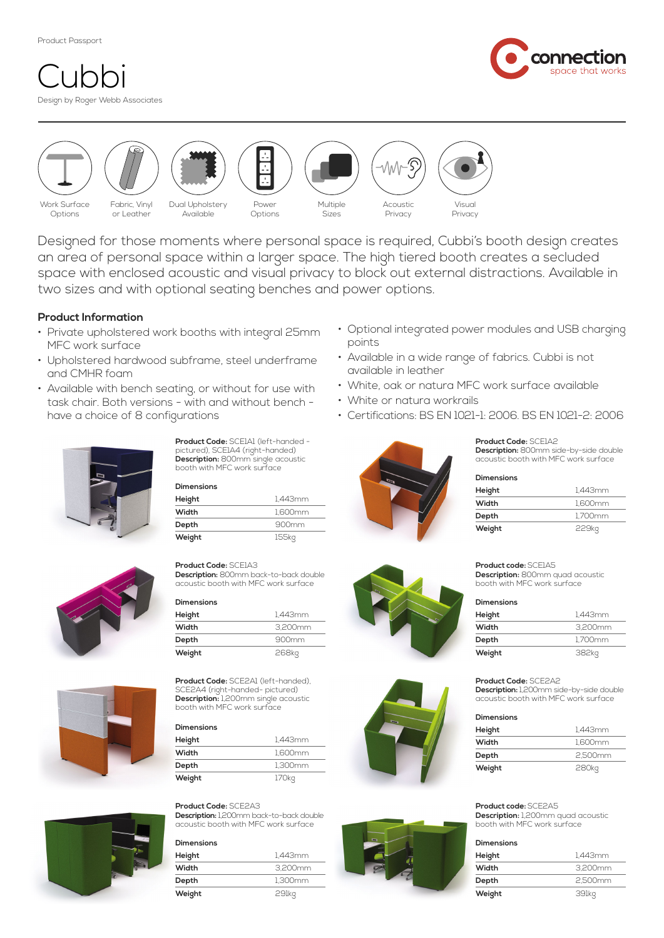Product Passport

# Design by Roger Webb Associates  $L1$





Designed for those moments where personal space is required, Cubbi's booth design creates an area of personal space within a larger space. The high tiered booth creates a secluded space with enclosed acoustic and visual privacy to block out external distractions. Available in two sizes and with optional seating benches and power options.

# **Product Information**

- Private upholstered work booths with integral 25mm MFC work surface
- Upholstered hardwood subframe, steel underframe and CMHR foam
- Available with bench seating, or without for use with task chair. Both versions - with and without bench have a choice of 8 configurations



**Product Code:** SCE1A1 (left-handed pictured), SCE1A4 (right-handed) **Description:** 800mm single acoustic booth with MFC work surface

**Dimensions**

| Height | 1.443mm           |
|--------|-------------------|
| Width  | 1.600mm           |
| Depth  | 900 <sub>mm</sub> |
| Weight | 155kg             |

# **Product Code:** SCE1A3

**Description:** 800mm back-to-back double acoustic booth with MFC work surface

# **Dimensions**

| Height | 1.443mm |
|--------|---------|
| Width  | 3.200mm |
| Depth  | 900mm   |
| Weight | 268kg   |

**Product Code:** SCE2A1 (left-handed), SCE2A4 (right-handed- pictured) **Description:** 1,200mm single acoustic booth with MFC work surface

#### **Dimensions**

| Height | 1.443mm |
|--------|---------|
| Width  | 1.600mm |
| Depth  | 1.300mm |
| Weight | 170kg   |

# **Product Code:** SCE2A3

**Description:** 1,200mm back-to-back double acoustic booth with MFC work surface

# **Dimensions**

| Height | 1.443mm |
|--------|---------|
| Width  | 3.200mm |
| Depth  | 1.300mm |
| Weight | 291kq   |



- Available in a wide range of fabrics. Cubbi is not available in leather
- White, oak or natura MFC work surface available
- White or natura workrails
- Certifications: BS EN 1021-1: 2006. BS EN 1021-2: 2006



**Product Code:** SCE1A2 **Description:** 800mm side-by-side double acoustic booth with MFC work surface

| Dimensions |         |
|------------|---------|
| Height     | 1.443mm |
| Width      | 1.600mm |
| Depth      | 1.700mm |
| Weight     | 229kq   |

**Product code:** SCE1A5 **Description:** 800mm quad acoustic booth with MFC work surface

| <b>Dimensions</b> |         |
|-------------------|---------|
| Height            | 1.443mm |
| Width             | 3.200mm |
| Depth             | 1.700mm |
| Weight            | 382kg   |

**Product Code:** SCE2A2

**Description:** 1,200mm side-by-side double acoustic booth with MFC work surface

| <b>Dimensions</b> |         |
|-------------------|---------|
| Height            | 1.443mm |
| Width             | 1.600mm |
| Depth             | 2.500mm |
| Weight            | 280kg   |

### **Product code:** SCE2A5

**Description:** 1,200mm quad acoustic booth with MFC work surface

#### **Dimensions**

| Height | 1.443mm |
|--------|---------|
| Width  | 3,200mm |
| Depth  | 2.500mm |
| Weight | 391kq   |